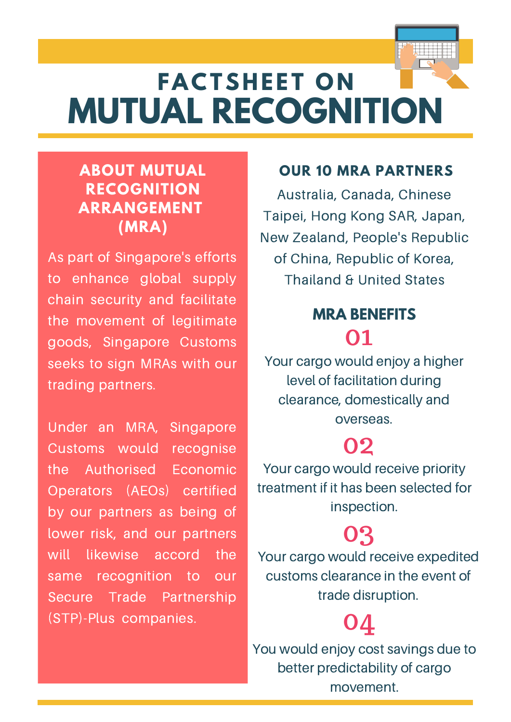## **MUTUAL RECOGNITION FACTSHEET ON**

#### **ABOUT MUTUAL RECOGNITION ARRANGEMENT (MRA)**

As part of Singapore's efforts to enhance global supply chain security and facilitate the movement of legitimate goods, Singapore Customs seeks to sign MRAs with our trading partners.

Under an MRA, Singapore Customs would recognise the Authorised Economic Operators (AEOs) certified by our partners as being of lower risk, and our partners will likewise accord the same recognition to our Secure Trade Partnership (STP)-Plus companies.

#### **OUR 10 MRA PARTNERS**

Australia, Canada, Chinese Taipei, Hong Kong SAR, Japan, New Zealand, People's Republic of China, Republic of Korea, Thailand & United States

### 01 **MRA BENEFITS**

Your cargo would enjoy a higher level of facilitation during clearance, domestically and overseas.

### 02

Your cargo would receive priority treatment if it has been selected for inspection.

### 03

Your cargo would receive expedited customs clearance in the event of trade disruption.

## 04

You would enjoy cost savings due to better predictability of cargo movement.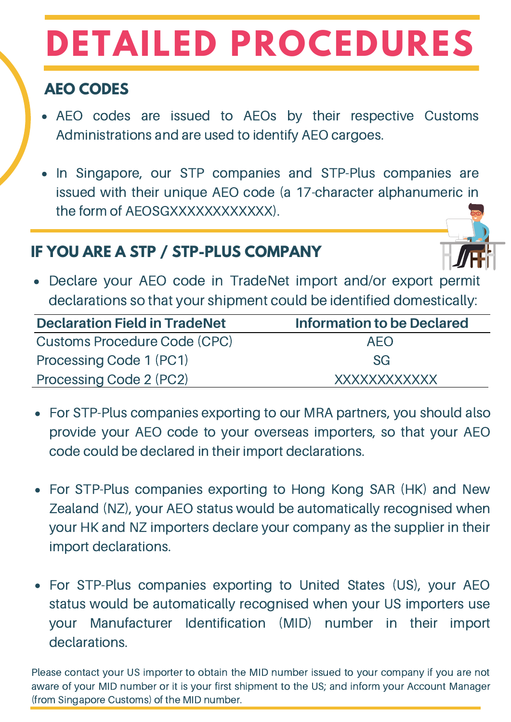# **DETAILED PROCEDURES**

### **AEO CODES**

- AEO codes are issued to AEOs by their respective Customs Administrations and are used to identify AEO cargoes.
- In Singapore, our STP companies and STP-Plus companies are issued with their unique AEO code (a 17-character alphanumeric in the form of AEOSGXXXXXXXXXXXXXXXX

### **IF YOU ARE A STP / STP-PLUS COMPANY**

- 
- Declare your AEO code in TradeNet import and/or export permi declarations so that your shipment could be identified domestically:

| <b>Declaration Field in TradeNet</b> | <b>Information to be Declared</b> |
|--------------------------------------|-----------------------------------|
| <b>Customs Procedure Code (CPC)</b>  | AFO                               |
| Processing Code 1 (PC1)              | <b>SG</b>                         |
| Processing Code 2 (PC2)              | XXXXXXXXXXXX                      |

- For STP-Plus companies exporting to our MRA partners, you should also provide your AEO code to your overseas importers, so that your AEO code could be declared in their import declarations.
- For STP-Plus companies exporting to Hong Kong SAR (HK) and New Zealand (NZ), your AEO status would be automatically recognised when your HK and NZ importers declare your company as the supplier in their import declarations.
- For STP-Plus companies exporting to United States (US), your AEO status would be automatically recognised when your US importers use your Manufacturer Identification (MID) number in their import declarations.

Please contact your US importer to obtain the MID number issued to your company if you are not aware of your MID number or it is your first shipment to the US; and inform your Account Manager (from Singapore Customs) of the MID number.